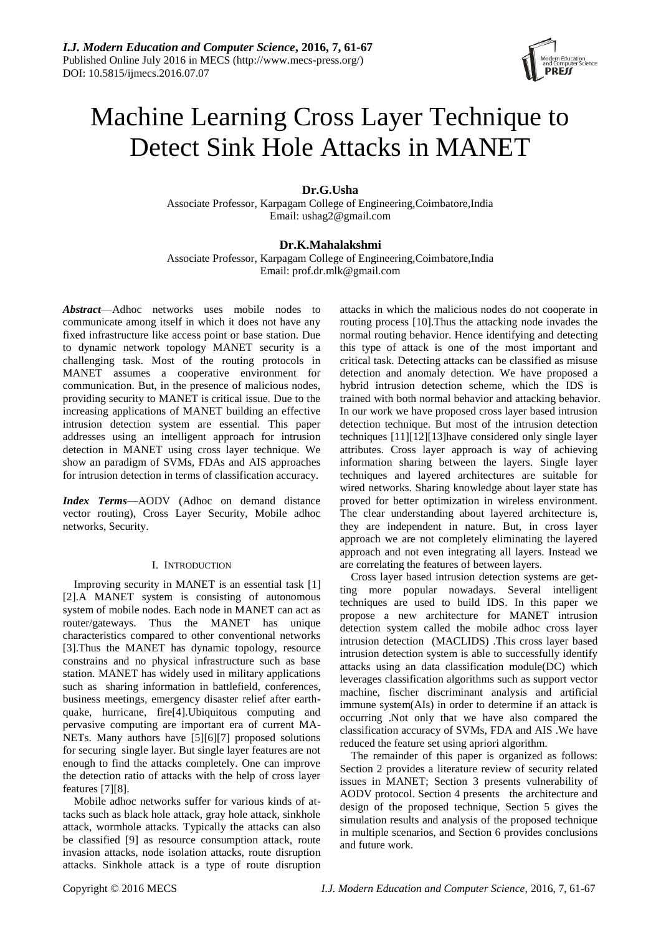

# Machine Learning Cross Layer Technique to Detect Sink Hole Attacks in MANET

## **Dr.G.Usha**

Associate Professor, Karpagam College of Engineering,Coimbatore,India Email: ushag2@gmail.com

## **Dr.K.Mahalakshmi**

Associate Professor, Karpagam College of Engineering,Coimbatore,India Email: prof.dr.mlk@gmail.com

*Abstract*—Adhoc networks uses mobile nodes to communicate among itself in which it does not have any fixed infrastructure like access point or base station. Due to dynamic network topology MANET security is a challenging task. Most of the routing protocols in MANET assumes a cooperative environment for communication. But, in the presence of malicious nodes, providing security to MANET is critical issue. Due to the increasing applications of MANET building an effective intrusion detection system are essential. This paper addresses using an intelligent approach for intrusion detection in MANET using cross layer technique. We show an paradigm of SVMs, FDAs and AIS approaches for intrusion detection in terms of classification accuracy.

*Index Terms*—AODV (Adhoc on demand distance vector routing), Cross Layer Security, Mobile adhoc networks, Security.

## I. INTRODUCTION

Improving security in MANET is an essential task [1] [2].A MANET system is consisting of autonomous system of mobile nodes. Each node in MANET can act as router/gateways. Thus the MANET has unique characteristics compared to other conventional networks [3].Thus the MANET has dynamic topology, resource constrains and no physical infrastructure such as base station. MANET has widely used in military applications such as sharing information in battlefield, conferences, business meetings, emergency disaster relief after earthquake, hurricane, fire[4].Ubiquitous computing and pervasive computing are important era of current MA-NETs. Many authors have [5][6][7] proposed solutions for securing single layer. But single layer features are not enough to find the attacks completely. One can improve the detection ratio of attacks with the help of cross layer features [7][8].

Mobile adhoc networks suffer for various kinds of attacks such as black hole attack, gray hole attack, sinkhole attack, wormhole attacks. Typically the attacks can also be classified [9] as resource consumption attack, route invasion attacks, node isolation attacks, route disruption attacks. Sinkhole attack is a type of route disruption attacks in which the malicious nodes do not cooperate in routing process [10].Thus the attacking node invades the normal routing behavior. Hence identifying and detecting this type of attack is one of the most important and critical task. Detecting attacks can be classified as misuse detection and anomaly detection. We have proposed a hybrid intrusion detection scheme, which the IDS is trained with both normal behavior and attacking behavior. In our work we have proposed cross layer based intrusion detection technique. But most of the intrusion detection techniques [11][12][13]have considered only single layer attributes. Cross layer approach is way of achieving information sharing between the layers. Single layer techniques and layered architectures are suitable for wired networks. Sharing knowledge about layer state has proved for better optimization in wireless environment. The clear understanding about layered architecture is, they are independent in nature. But, in cross layer approach we are not completely eliminating the layered approach and not even integrating all layers. Instead we are correlating the features of between layers.

Cross layer based intrusion detection systems are getting more popular nowadays. Several intelligent techniques are used to build IDS. In this paper we propose a new architecture for MANET intrusion detection system called the mobile adhoc cross layer intrusion detection (MACLIDS) .This cross layer based intrusion detection system is able to successfully identify attacks using an data classification module(DC) which leverages classification algorithms such as support vector machine, fischer discriminant analysis and artificial immune system(AIs) in order to determine if an attack is occurring .Not only that we have also compared the classification accuracy of SVMs, FDA and AIS .We have reduced the feature set using apriori algorithm.

The remainder of this paper is organized as follows: Section 2 provides a literature review of security related issues in MANET; Section 3 presents vulnerability of AODV protocol. Section 4 presents the architecture and design of the proposed technique, Section 5 gives the simulation results and analysis of the proposed technique in multiple scenarios, and Section 6 provides conclusions and future work.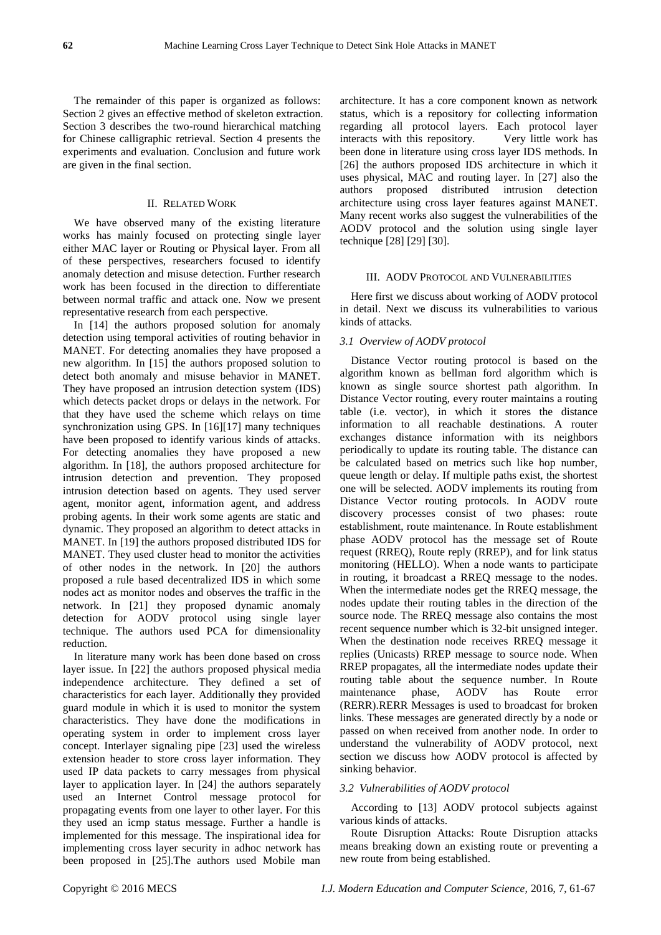The remainder of this paper is organized as follows: Section 2 gives an effective method of skeleton extraction. Section 3 describes the two-round hierarchical matching for Chinese calligraphic retrieval. Section 4 presents the experiments and evaluation. Conclusion and future work are given in the final section.

### II. RELATED WORK

We have observed many of the existing literature works has mainly focused on protecting single layer either MAC layer or Routing or Physical layer. From all of these perspectives, researchers focused to identify anomaly detection and misuse detection. Further research work has been focused in the direction to differentiate between normal traffic and attack one. Now we present representative research from each perspective.

In [14] the authors proposed solution for anomaly detection using temporal activities of routing behavior in MANET. For detecting anomalies they have proposed a new algorithm. In [15] the authors proposed solution to detect both anomaly and misuse behavior in MANET. They have proposed an intrusion detection system (IDS) which detects packet drops or delays in the network. For that they have used the scheme which relays on time synchronization using GPS. In [16][17] many techniques have been proposed to identify various kinds of attacks. For detecting anomalies they have proposed a new algorithm. In [18], the authors proposed architecture for intrusion detection and prevention. They proposed intrusion detection based on agents. They used server agent, monitor agent, information agent, and address probing agents. In their work some agents are static and dynamic. They proposed an algorithm to detect attacks in MANET. In [19] the authors proposed distributed IDS for MANET. They used cluster head to monitor the activities of other nodes in the network. In [20] the authors proposed a rule based decentralized IDS in which some nodes act as monitor nodes and observes the traffic in the network. In [21] they proposed dynamic anomaly detection for AODV protocol using single layer technique. The authors used PCA for dimensionality reduction.

In literature many work has been done based on cross layer issue. In [22] the authors proposed physical media independence architecture. They defined a set of characteristics for each layer. Additionally they provided guard module in which it is used to monitor the system characteristics. They have done the modifications in operating system in order to implement cross layer concept. Interlayer signaling pipe [23] used the wireless extension header to store cross layer information. They used IP data packets to carry messages from physical layer to application layer. In [24] the authors separately used an Internet Control message protocol for propagating events from one layer to other layer. For this they used an icmp status message. Further a handle is implemented for this message. The inspirational idea for implementing cross layer security in adhoc network has been proposed in [25].The authors used Mobile man

architecture. It has a core component known as network status, which is a repository for collecting information regarding all protocol layers. Each protocol layer interacts with this repository. Very little work has been done in literature using cross layer IDS methods. In [26] the authors proposed IDS architecture in which it uses physical, MAC and routing layer. In [27] also the authors proposed distributed intrusion detection architecture using cross layer features against MANET. Many recent works also suggest the vulnerabilities of the AODV protocol and the solution using single layer technique [28] [29] [30].

#### III. AODV PROTOCOL AND VULNERABILITIES

Here first we discuss about working of AODV protocol in detail. Next we discuss its vulnerabilities to various kinds of attacks.

#### *3.1 Overview of AODV protocol*

Distance Vector routing protocol is based on the algorithm known as bellman ford algorithm which is known as single source shortest path algorithm. In Distance Vector routing, every router maintains a routing table (i.e. vector), in which it stores the distance information to all reachable destinations. A router exchanges distance information with its neighbors periodically to update its routing table. The distance can be calculated based on metrics such like hop number, queue length or delay. If multiple paths exist, the shortest one will be selected. AODV implements its routing from Distance Vector routing protocols. In AODV route discovery processes consist of two phases: route establishment, route maintenance. In Route establishment phase AODV protocol has the message set of Route request (RREQ), Route reply (RREP), and for link status monitoring (HELLO). When a node wants to participate in routing, it broadcast a RREQ message to the nodes. When the intermediate nodes get the RREQ message, the nodes update their routing tables in the direction of the source node. The RREQ message also contains the most recent sequence number which is 32-bit unsigned integer. When the destination node receives RREQ message it replies (Unicasts) RREP message to source node. When RREP propagates, all the intermediate nodes update their routing table about the sequence number. In Route maintenance phase, AODV has Route error (RERR).RERR Messages is used to broadcast for broken links. These messages are generated directly by a node or passed on when received from another node. In order to understand the vulnerability of AODV protocol, next section we discuss how AODV protocol is affected by sinking behavior.

#### *3.2 Vulnerabilities of AODV protocol*

According to [13] AODV protocol subjects against various kinds of attacks.

Route Disruption Attacks: Route Disruption attacks means breaking down an existing route or preventing a new route from being established.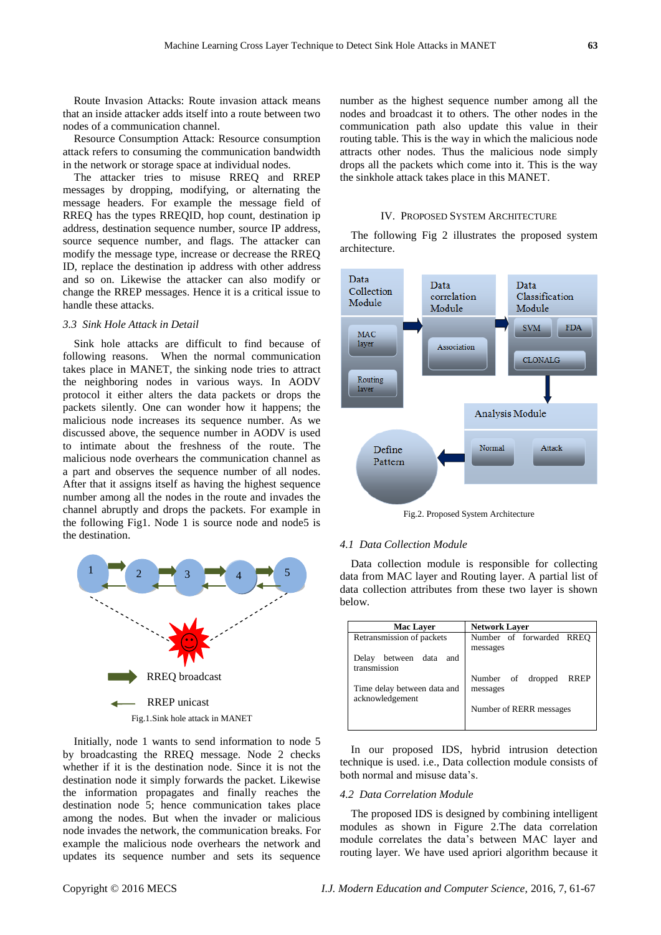Route Invasion Attacks: Route invasion attack means that an inside attacker adds itself into a route between two nodes of a communication channel.

Resource Consumption Attack: Resource consumption attack refers to consuming the communication bandwidth in the network or storage space at individual nodes.

The attacker tries to misuse RREQ and RREP messages by dropping, modifying, or alternating the message headers. For example the message field of RREQ has the types RREQID, hop count, destination ip address, destination sequence number, source IP address, source sequence number, and flags. The attacker can modify the message type, increase or decrease the RREQ ID, replace the destination ip address with other address and so on. Likewise the attacker can also modify or change the RREP messages. Hence it is a critical issue to handle these attacks.

#### *3.3 Sink Hole Attack in Detail*

Sink hole attacks are difficult to find because of following reasons. When the normal communication takes place in MANET, the sinking node tries to attract the neighboring nodes in various ways. In AODV protocol it either alters the data packets or drops the packets silently. One can wonder how it happens; the malicious node increases its sequence number. As we discussed above, the sequence number in AODV is used to intimate about the freshness of the route. The malicious node overhears the communication channel as a part and observes the sequence number of all nodes. After that it assigns itself as having the highest sequence number among all the nodes in the route and invades the channel abruptly and drops the packets. For example in the following Fig1. Node 1 is source node and node5 is the destination.



Initially, node 1 wants to send information to node 5 by broadcasting the RREQ message. Node 2 checks whether if it is the destination node. Since it is not the destination node it simply forwards the packet. Likewise the information propagates and finally reaches the destination node 5; hence communication takes place among the nodes. But when the invader or malicious node invades the network, the communication breaks. For example the malicious node overhears the network and updates its sequence number and sets its sequence number as the highest sequence number among all the nodes and broadcast it to others. The other nodes in the communication path also update this value in their routing table. This is the way in which the malicious node attracts other nodes. Thus the malicious node simply drops all the packets which come into it. This is the way the sinkhole attack takes place in this MANET.

## IV. PROPOSED SYSTEM ARCHITECTURE

The following Fig 2 illustrates the proposed system architecture.



Fig.2. Proposed System Architecture

#### *4.1 Data Collection Module*

Data collection module is responsible for collecting data from MAC layer and Routing layer. A partial list of data collection attributes from these two layer is shown below.

| <b>Network Laver</b>      |  |  |
|---------------------------|--|--|
| Number of forwarded RREQ  |  |  |
| messages                  |  |  |
|                           |  |  |
|                           |  |  |
| Number of dropped<br>RREP |  |  |
| messages                  |  |  |
|                           |  |  |
| Number of RERR messages   |  |  |
|                           |  |  |
|                           |  |  |

In our proposed IDS, hybrid intrusion detection technique is used. i.e., Data collection module consists of both normal and misuse data's.

#### *4.2 Data Correlation Module*

The proposed IDS is designed by combining intelligent modules as shown in Figure 2.The data correlation module correlates the data's between MAC layer and routing layer. We have used apriori algorithm because it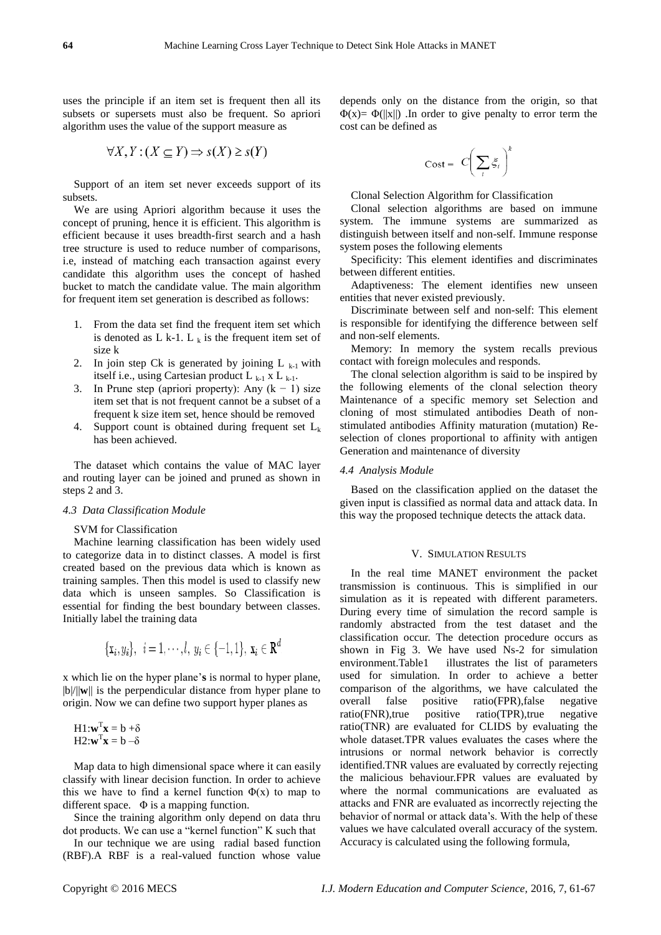uses the principle if an item set is frequent then all its subsets or supersets must also be frequent. So apriori algorithm uses the value of the support measure as

$$
\forall X, Y : (X \subseteq Y) \Rightarrow s(X) \ge s(Y)
$$

Support of an item set never exceeds support of its subsets.

We are using Apriori algorithm because it uses the concept of pruning, hence it is efficient. This algorithm is efficient because it uses breadth-first search and a hash tree structure is used to reduce number of comparisons, i.e, instead of matching each transaction against every candidate this algorithm uses the concept of hashed bucket to match the candidate value. The main algorithm for frequent item set generation is described as follows:

- 1. From the data set find the frequent item set which is denoted as L k-1. L  $_k$  is the frequent item set of size k
- 2. In join step Ck is generated by joining  $L_{k-1}$  with itself i.e., using Cartesian product  $L_{k-1}$  x  $L_{k-1}$ .
- 3. In Prune step (apriori property): Any  $(k 1)$  size item set that is not frequent cannot be a subset of a frequent k size item set, hence should be removed
- 4. Support count is obtained during frequent set  $L_k$ has been achieved.

The dataset which contains the value of MAC layer and routing layer can be joined and pruned as shown in steps 2 and 3.

#### *4.3 Data Classification Module*

#### SVM for Classification

Machine learning classification has been widely used to categorize data in to distinct classes. A model is first created based on the previous data which is known as training samples. Then this model is used to classify new data which is unseen samples. So Classification is essential for finding the best boundary between classes. Initially label the training data

$$
\{\mathbf x_i, y_i\}, \ \ i = 1, \cdots, l, \ y_i \in \{-1, 1\}, \ \mathbf x_i \in \mathbf R^d
$$

x which lie on the hyper plane'**s** is normal to hyper plane, |b|/||**w**|| is the perpendicular distance from hyper plane to origin. Now we can define two support hyper planes as

$$
H1: \mathbf{w}^T \mathbf{x} = b + \delta
$$

$$
H2: \mathbf{w}^T \mathbf{x} = b - \delta
$$

Map data to high dimensional space where it can easily classify with linear decision function. In order to achieve this we have to find a kernel function  $\Phi(x)$  to map to different space. Φ is a mapping function.

Since the training algorithm only depend on data thru dot products. We can use a "kernel function" K such that

In our technique we are using radial based function (RBF).A RBF is a real-valued function whose value

depends only on the distance from the origin, so that  $\Phi(x) = \Phi(||x||)$ . In order to give penalty to error term the cost can be defined as

$$
\mathrm{Cost} = C \bigg( \sum_i \xi_i \bigg)^k
$$

Clonal Selection Algorithm for Classification

Clonal selection algorithms are based on immune system. The immune systems are summarized as distinguish between itself and non-self. Immune response system poses the following elements

Specificity: This element identifies and discriminates between different entities.

Adaptiveness: The element identifies new unseen entities that never existed previously.

Discriminate between self and non-self: This element is responsible for identifying the difference between self and non-self elements.

Memory: In memory the system recalls previous contact with foreign molecules and responds.

The clonal selection algorithm is said to be inspired by the following elements of the clonal selection theory Maintenance of a specific memory set Selection and cloning of most stimulated antibodies Death of nonstimulated antibodies Affinity maturation (mutation) Reselection of clones proportional to affinity with antigen Generation and maintenance of diversity

#### *4.4 Analysis Module*

Based on the classification applied on the dataset the given input is classified as normal data and attack data. In this way the proposed technique detects the attack data.

#### V. SIMULATION RESULTS

In the real time MANET environment the packet transmission is continuous. This is simplified in our simulation as it is repeated with different parameters. During every time of simulation the record sample is randomly abstracted from the test dataset and the classification occur. The detection procedure occurs as shown in Fig 3. We have used Ns-2 for simulation environment.Table1 illustrates the list of parameters used for simulation. In order to achieve a better comparison of the algorithms, we have calculated the overall false positive ratio(FPR),false negative ratio(FNR),true positive ratio(TPR),true negative ratio(TNR) are evaluated for CLIDS by evaluating the whole dataset.TPR values evaluates the cases where the intrusions or normal network behavior is correctly identified.TNR values are evaluated by correctly rejecting the malicious behaviour.FPR values are evaluated by where the normal communications are evaluated as attacks and FNR are evaluated as incorrectly rejecting the behavior of normal or attack data's. With the help of these values we have calculated overall accuracy of the system. Accuracy is calculated using the following formula,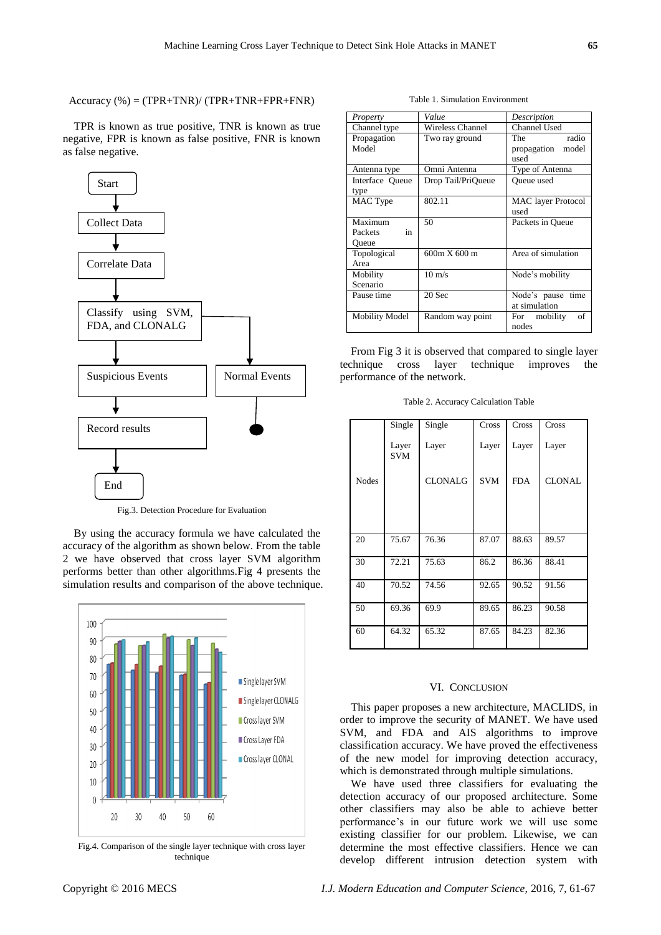$Accuracy$  (%) = (TPR+TNR)/ (TPR+TNR+FPR+FNR)

TPR is known as true positive, TNR is known as true negative, FPR is known as false positive, FNR is known as false negative.



Fig.3. Detection Procedure for Evaluation

By using the accuracy formula we have calculated the accuracy of the algorithm as shown below. From the table 2 we have observed that cross layer SVM algorithm performs better than other algorithms.Fig 4 presents the simulation results and comparison of the above technique.



Fig.4. Comparison of the single layer technique with cross layer technique

Table 1. Simulation Environment

| Property                | Value                   | Description                                  |  |  |
|-------------------------|-------------------------|----------------------------------------------|--|--|
| Channel type            | <b>Wireless Channel</b> | Channel Used                                 |  |  |
| Propagation<br>Model    | Two ray ground          | radio<br>The<br>propagation<br>model<br>used |  |  |
| Antenna type            | Omni Antenna            | Type of Antenna                              |  |  |
| Interface Queue<br>type | Drop Tail/PriQueue      | <b>Oueue</b> used                            |  |  |
| MAC Type                | 802.11                  | <b>MAC</b> layer Protocol<br>used            |  |  |
| Maximum                 | 50                      | Packets in Oueue                             |  |  |
| Packets<br>in<br>Oueue  |                         |                                              |  |  |
| Topological<br>Area     | 600m X 600 m            | Area of simulation                           |  |  |
| Mobility<br>Scenario    | $10 \text{ m/s}$        | Node's mobility                              |  |  |
| Pause time              | 20 Sec                  | Node's pause time<br>at simulation           |  |  |
| <b>Mobility Model</b>   | Random way point        | of<br>For mobility<br>nodes                  |  |  |

From Fig 3 it is observed that compared to single layer technique cross layer technique improves the performance of the network.

Table 2. Accuracy Calculation Table

|              | Single              | Single         | Cross      | Cross      | Cross         |
|--------------|---------------------|----------------|------------|------------|---------------|
|              |                     |                |            |            |               |
|              | Layer<br><b>SVM</b> | Layer          | Layer      | Layer      | Layer         |
| <b>Nodes</b> |                     | <b>CLONALG</b> | <b>SVM</b> | <b>FDA</b> | <b>CLONAL</b> |
|              |                     |                |            |            |               |
| 20           | 75.67               | 76.36          | 87.07      | 88.63      | 89.57         |
| 30           | 72.21               | 75.63          | 86.2       | 86.36      | 88.41         |
| 40           | 70.52               | 74.56          | 92.65      | 90.52      | 91.56         |
| 50           | 69.36               | 69.9           | 89.65      | 86.23      | 90.58         |
| 60           | 64.32               | 65.32          | 87.65      | 84.23      | 82.36         |

## VI. CONCLUSION

This paper proposes a new architecture, MACLIDS, in order to improve the security of MANET. We have used SVM, and FDA and AIS algorithms to improve classification accuracy. We have proved the effectiveness of the new model for improving detection accuracy, which is demonstrated through multiple simulations.

We have used three classifiers for evaluating the detection accuracy of our proposed architecture. Some other classifiers may also be able to achieve better performance's in our future work we will use some existing classifier for our problem. Likewise, we can determine the most effective classifiers. Hence we can develop different intrusion detection system with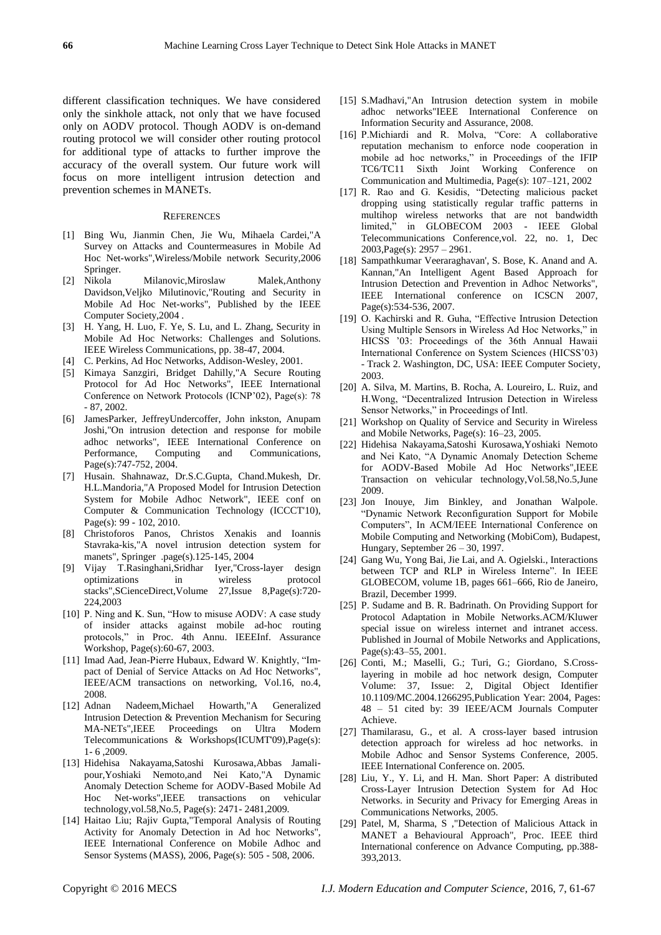different classification techniques. We have considered only the sinkhole attack, not only that we have focused only on AODV protocol. Though AODV is on-demand routing protocol we will consider other routing protocol for additional type of attacks to further improve the accuracy of the overall system. Our future work will focus on more intelligent intrusion detection and prevention schemes in MANETs.

#### **REFERENCES**

- [1] Bing Wu, Jianmin Chen, Jie Wu, Mihaela Cardei,"A Survey on Attacks and Countermeasures in Mobile Ad Hoc Net-works",Wireless/Mobile network Security,2006
- Springer.<br>[2] Nikola Milanovic,Miroslaw Malek,Anthony Davidson,Veljko Milutinovic,"Routing and Security in Mobile Ad Hoc Net-works", Published by the IEEE Computer Society,2004 .
- [3] H. Yang, H. Luo, F. Ye, S. Lu, and L. Zhang, Security in Mobile Ad Hoc Networks: Challenges and Solutions. IEEE Wireless Communications, pp. 38-47, 2004.
- [4] C. Perkins, Ad Hoc Networks, Addison-Wesley, 2001.
- [5] Kimaya Sanzgiri, Bridget Dahilly,"A Secure Routing Protocol for Ad Hoc Networks", IEEE International Conference on Network Protocols (ICNP'02), Page(s): 78 - 87, 2002.
- [6] JamesParker, JeffreyUndercoffer, John inkston, Anupam Joshi,"On intrusion detection and response for mobile adhoc networks", IEEE International Conference on Performance, Computing and Communications, Page(s):747-752, 2004.
- [7] Husain. Shahnawaz, Dr.S.C.Gupta, Chand.Mukesh, Dr. H.L.Mandoria,"A Proposed Model for Intrusion Detection System for Mobile Adhoc Network", IEEE conf on Computer & Communication Technology (ICCCT'10), Page(s): 99 - 102, 2010.
- [8] Christoforos Panos, Christos Xenakis and Ioannis Stavraka-kis,"A novel intrusion detection system for manets", Springer .page(s).125-145, 2004
- [9] Vijay T.Rasinghani,Sridhar Iyer,"Cross-layer design optimizations in wireless protocol stacks",SCienceDirect,Volume 27,Issue 8,Page(s):720- 224,2003
- [10] P. Ning and K. Sun, "How to misuse AODV: A case study of insider attacks against mobile ad-hoc routing protocols," in Proc. 4th Annu. IEEEInf. Assurance Workshop, Page(s):60-67, 2003.
- [11] Imad Aad, Jean-Pierre Hubaux, Edward W. Knightly, "Impact of Denial of Service Attacks on Ad Hoc Networks", IEEE/ACM transactions on networking, Vol.16, no.4, 2008.
- [12] Adnan Nadeem,Michael Howarth,"A Generalized Intrusion Detection & Prevention Mechanism for Securing MA-NETs",IEEE Proceedings on Ultra Modern Telecommunications & Workshops(ICUMT'09),Page(s): 1- 6 ,2009.
- [13] Hidehisa Nakayama,Satoshi Kurosawa,Abbas Jamalipour,Yoshiaki Nemoto,and Nei Kato,"A Dynamic Anomaly Detection Scheme for AODV-Based Mobile Ad Hoc Net-works",IEEE transactions on vehicular technology,vol.58,No.5, Page(s): 2471- 2481,2009.
- [14] Haitao Liu; Rajiv Gupta,"Temporal Analysis of Routing Activity for Anomaly Detection in Ad hoc Networks", IEEE International Conference on Mobile Adhoc and Sensor Systems (MASS), 2006, Page(s): 505 - 508, 2006.
- [15] S.Madhavi,"An Intrusion detection system in mobile adhoc networks"IEEE International Conference on Information Security and Assurance, 2008.
- [16] P.Michiardi and R. Molva, "Core: A collaborative reputation mechanism to enforce node cooperation in mobile ad hoc networks," in Proceedings of the IFIP TC6/TC11 Sixth Joint Working Conference on Communication and Multimedia, Page(s): 107–121, 2002
- [17] R. Rao and G. Kesidis, "Detecting malicious packet dropping using statistically regular traffic patterns in multihop wireless networks that are not bandwidth limited," in GLOBECOM 2003 - IEEE Global Telecommunications Conference,vol. 22, no. 1, Dec 2003,Page(s): 2957 – 2961.
- [18] Sampathkumar Veeraraghavan', S. Bose, K. Anand and A. Kannan,"An Intelligent Agent Based Approach for Intrusion Detection and Prevention in Adhoc Networks", IEEE International conference on ICSCN 2007, Page(s):534-536, 2007.
- [19] O. Kachirski and R. Guha, "Effective Intrusion Detection Using Multiple Sensors in Wireless Ad Hoc Networks," in HICSS '03: Proceedings of the 36th Annual Hawaii International Conference on System Sciences (HICSS'03) - Track 2. Washington, DC, USA: IEEE Computer Society, 2003.
- [20] A. Silva, M. Martins, B. Rocha, A. Loureiro, L. Ruiz, and H. Wong, "Decentralized Intrusion Detection in Wireless Sensor Networks," in Proceedings of Intl.
- [21] Workshop on Quality of Service and Security in Wireless and Mobile Networks, Page(s): 16–23, 2005.
- [22] Hidehisa Nakayama,Satoshi Kurosawa,Yoshiaki Nemoto and Nei Kato, "A Dynamic Anomaly Detection Scheme for AODV-Based Mobile Ad Hoc Networks",IEEE Transaction on vehicular technology,Vol.58,No.5,June 2009.
- [23] Jon Inouye, Jim Binkley, and Jonathan Walpole. ―Dynamic Network Reconfiguration Support for Mobile Computers", In ACM/IEEE International Conference on Mobile Computing and Networking (MobiCom), Budapest, Hungary, September 26 – 30, 1997.
- [24] Gang Wu, Yong Bai, Jie Lai, and A. Ogielski., Interactions between TCP and RLP in Wireless Interne". In IEEE GLOBECOM, volume 1B, pages 661–666, Rio de Janeiro, Brazil, December 1999.
- [25] P. Sudame and B. R. Badrinath. On Providing Support for Protocol Adaptation in Mobile Networks.ACM/Kluwer special issue on wireless internet and intranet access. Published in Journal of Mobile Networks and Applications, Page(s):43–55, 2001.
- [26] Conti, M.; Maselli, G.; Turi, G.; Giordano, S.Crosslayering in mobile ad hoc network design, Computer Volume: 37, Issue: 2, Digital Object Identifier 10.1109/MC.2004.1266295,Publication Year: 2004, Pages: 48 – 51 cited by: 39 IEEE/ACM Journals Computer Achieve.
- [27] Thamilarasu, G., et al. A cross-layer based intrusion detection approach for wireless ad hoc networks. in Mobile Adhoc and Sensor Systems Conference, 2005. IEEE International Conference on. 2005.
- [28] Liu, Y., Y. Li, and H. Man. Short Paper: A distributed Cross-Layer Intrusion Detection System for Ad Hoc Networks. in Security and Privacy for Emerging Areas in Communications Networks, 2005.
- [29] Patel, M, Sharma, S ,"Detection of Malicious Attack in MANET a Behavioural Approach", Proc. IEEE third International conference on Advance Computing, pp.388- 393,2013.